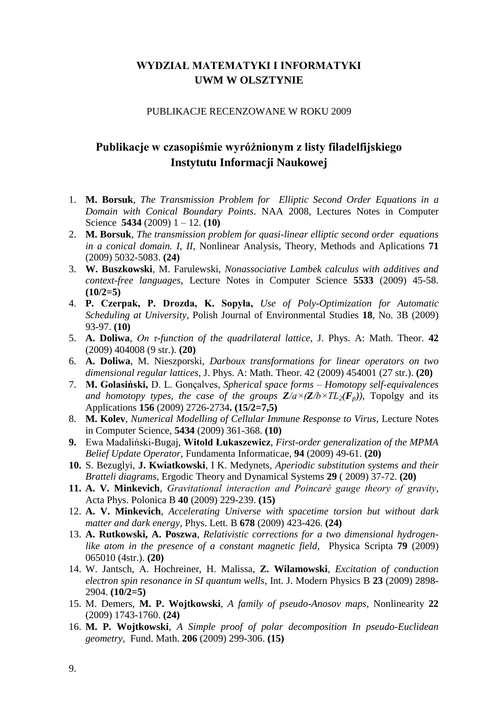# **WYDZIAŁ MATEMATYKI I INFORMATYKI UWM W OLSZTYNIE**

#### PUBLIKACJE RECENZOWANE W ROKU 2009

# **Publikacje w czasopiśmie wyróżnionym z listy filadelfijskiego Instytutu Informacji Naukowej**

- 1. **M. Borsuk**, *The Transmission Problem for Elliptic Second Order Equations in a Domain with Conical Boundary Points*. NAA 2008, Lectures Notes in Computer Science **5434** (2009) 1 – 12. **(10)**
- 2. **M. Borsuk**, *The transmission problem for quasi-linear elliptic second order equations in a conical domain. I, II*, Nonlinear Analysis, Theory, Methods and Aplications **71** (2009) 5032-5083. **(24)**
- 3. **W. Buszkowski**, M. Farulewski, *Nonassociative Lambek calculus with additives and context-free languages*, Lecture Notes in Computer Science **5533** (2009) 45-58. **(10/2=5)**
- 4. **P. Czerpak, P. Drozda, K. Sopyła,** *Use of Poly-Optimization for Automatic Scheduling at University*, Polish Journal of Environmental Studies **18**, No. 3B (2009) 93-97. **(10)**
- 5. **A. Doliwa**, *On τ-function of the quadrilateral lattice,* J. Phys. A: Math. Theor. **42** (2009) 404008 (9 str.). **(20)**
- 6. **A. Doliwa**, M. Nieszporski, *Darboux transformations for linear operators on two dimensional regular lattices,* J. Phys. A: Math. Theor. 42 (2009) 454001 (27 str.). **(20)**
- 7. **M. Golasiński,** D. L. Gonçalves, *Spherical space forms – Homotopy self-equivalences and homotopy types, the case of the groups*  $\mathbf{Z}/a \times (\mathbf{Z}/b \times TL_2(\mathbf{F}_p))$ *, Topolgy and its* Applications **156** (2009) 2726-2734**. (15/2=7,5)**
- 8. **M. Kolev**, *Numerical Modelling of Cellular Immune Response to Virus*, Lecture Notes in Computer Science, **5434** (2009) 361-368. **(10)**
- **9.** Ewa Madaliński-Bugaj, **Witold Łukaszewicz**, *First-order generalization of the MPMA Belief Update Operator*, Fundamenta Informaticae, **94** (2009) 49-61. **(20)**
- **10.** S. Bezuglyi, **J. Kwiatkowski**, I K. Medynets, *Aperiodic substitution systems and their Bratteli diagrams*, Ergodic Theory and Dynamical Systems **29** ( 2009) 37-72. **(20)**
- **11. A. V. Minkevich**, *Gravitational interaction and Poincaré gauge theory of gravity*, Acta Phys. Polonica B **40** (2009) 229-239. **(15)**
- 12. **A. V. Minkevich**, *Accelerating Universe with spacetime torsion but without dark matter and dark energy*, Phys. Lett. B **678** (2009) 423-426. **(24)**
- 13. **A. Rutkowski, A. Poszwa**, *Relativistic corrections for a two dimensional hydrogenlike atom in the presence of a constant magnetic field*, Physica Scripta **79** (2009) 065010 (4str.). **(20)**
- 14. W. Jantsch, A. Hochreiner, H. Malissa, **Z. Wilamowski**, *Excitation of conduction electron spin resonance in SI quantum wells*, Int. J. Modern Physics B **23** (2009) 2898- 2904. **(10/2=5)**
- 15. M. Demers, **M. P. Wojtkowski**, *A family of pseudo-Anosov maps,* Nonlinearity **22** (2009) 1743-1760. **(24)**
- 16. **M. P. Wojtkowski**, *A Simple proof of polar decomposition In pseudo-Euclidean geometry,* Fund. Math. **206** (2009) 299-306. **(15)**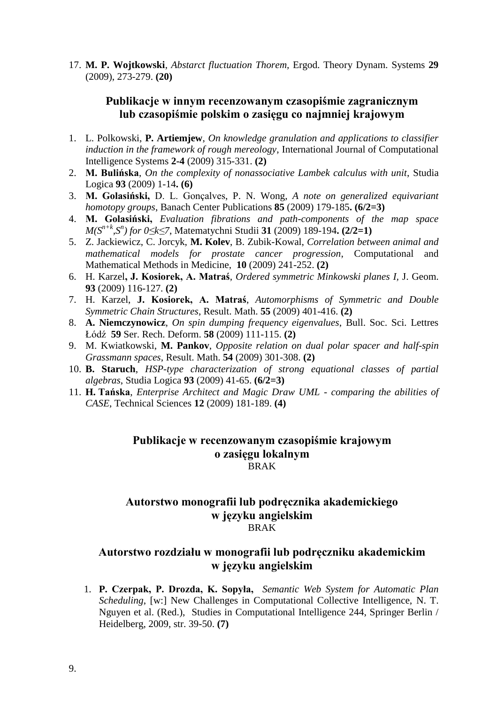17. **M. P. Wojtkowski**, *Abstarct fluctuation Thorem,* Ergod. Theory Dynam. Systems **29**  (2009), 273-279. **(20)**

# **Publikacje w innym recenzowanym czasopiśmie zagranicznym lub czasopiśmie polskim o zasięgu co najmniej krajowym**

- 1. L. Polkowski, **P. Artiemjew**, *On knowledge granulation and applications to classifier induction in the framework of rough mereology*, International Journal of Computational Intelligence Systems **2-4** (2009) 315-331. **(2)**
- 2. **M. Bulińska**, *On the complexity of nonassociative Lambek calculus with unit*, Studia Logica **93** (2009) 1-14**. (6)**
- 3. **M. Golasiński,** D. L. Gonçalves, P. N. Wong, *A note on generalized equivariant homotopy groups*, Banach Center Publications **85** (2009) 179-185**. (6/2=3)**
- 4. **M. Golasiński,** *Evaluation fibrations and path-components of the map space M(Sn+k,S<sup>n</sup> ) for 0≤k≤7*, Matematychni Studii **31** (2009) 189-194**. (2/2=1)**
- 5. Z. Jackiewicz, C. Jorcyk, **M. Kolev**, B. Zubik-Kowal, *Correlation between animal and mathematical models for prostate cancer progression*, Computational and Mathematical Methods in Medicine, **10** (2009) 241-252. **(2)**
- 6. H. Karzel**, J. Kosiorek, A. Matraś**, *Ordered symmetric Minkowski planes I,* J. Geom. **93** (2009) 116-127. **(2)**
- 7. H. Karzel, **J. Kosiorek, A. Matraś**, *Automorphisms of Symmetric and Double Symmetric Chain Structures*, Result. Math. **55** (2009) 401-416. **(2)**
- 8. **A. Niemczynowicz**, *On spin dumping frequency eigenvalues*, Bull. Soc. Sci. Lettres Łódź **59** Ser. Rech. Deform. **58** (2009) 111-115. **(2)**
- 9. M. Kwiatkowski, **M. Pankov**, *Opposite relation on dual polar spacer and half-spin Grassmann spaces*, Result. Math. **54** (2009) 301-308. **(2)**
- 10. **B. Staruch**, *HSP-type characterization of strong equational classes of partial algebras*, Studia Logica **93** (2009) 41-65. **(6/2=3)**
- 11. **H. Tańska**, *Enterprise Architect and Magic Draw UML - comparing the abilities of CASE*, Technical Sciences **12** (2009) 181-189. **(4)**

#### **Publikacje w recenzowanym czasopiśmie krajowym o zasięgu lokalnym** BRAK

### **Autorstwo monografii lub podręcznika akademickiego w języku angielskim** BRAK

# **Autorstwo rozdziału w monografii lub podręczniku akademickim w języku angielskim**

1. **P. Czerpak, P. Drozda, K. Sopyła,** *Semantic Web System for Automatic Plan Scheduling*, [w:] New Challenges in Computational Collective Intelligence, N. T. Nguyen et al. (Red.), Studies in Computational Intelligence 244, Springer Berlin / Heidelberg, 2009, str. 39-50. **(7)**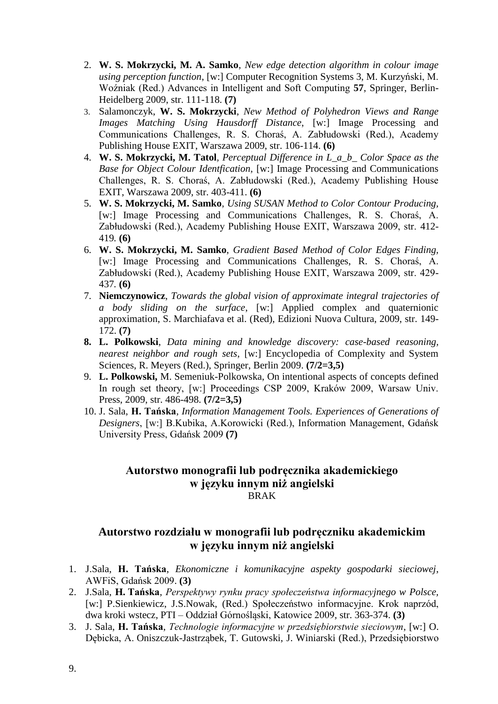- 2. **W. S. Mokrzycki, M. A. Samko**, *New edge detection algorithm in colour image using perception function*, [w:] Computer Recognition Systems 3, M. Kurzyński, M. Woźniak (Red.) Advances in Intelligent and Soft Computing **57**, Springer, Berlin-Heidelberg 2009, str. 111-118. **(7)**
- 3. Salamonczyk, **W. S. Mokrzycki**, *New Method of Polyhedron Views and Range Images Matching Using Hausdorff Distance*, [w:] Image Processing and Communications Challenges, R. S. Choraś, A. Zabłudowski (Red.), Academy Publishing House EXIT, Warszawa 2009, str. 106-114. **(6)**
- 4. **W. S. Mokrzycki, M. Tatol***, Perceptual Difference in L\_a\_b\_ Color Space as the Base for Object Colour Identfication,* [w:] Image Processing and Communications Challenges, R. S. Choraś, A. Zabłudowski (Red.), Academy Publishing House EXIT, Warszawa 2009, str. 403-411. **(6)**
- 5. **W. S. Mokrzycki, M. Samko**, *Using SUSAN Method to Color Contour Producing,*  [w:] Image Processing and Communications Challenges, R. S. Choraś, A. Zabłudowski (Red.), Academy Publishing House EXIT, Warszawa 2009, str. 412- 419*.* **(6)**
- 6. **W. S. Mokrzycki, M. Samko**, *Gradient Based Method of Color Edges Finding,*  [w:] Image Processing and Communications Challenges, R. S. Choraś, A. Zabłudowski (Red.), Academy Publishing House EXIT, Warszawa 2009, str. 429- 437*.* **(6)**
- 7. **Niemczynowicz**, *Towards the global vision of approximate integral trajectories of a body sliding on the surface*, [w:] Applied complex and quaternionic approximation, S. Marchiafava et al. (Red), Edizioni Nuova Cultura, 2009, str. 149- 172. **(7)**
- **8. L. Polkowski**, *Data mining and knowledge discovery: case-based reasoning, nearest neighbor and rough sets*, [w:] Encyclopedia of Complexity and System Sciences, R. Meyers (Red.), Springer, Berlin 2009. **(7/2=3,5)**
- 9. **L. Polkowski,** M. Semeniuk-Polkowska, On intentional aspects of concepts defined In rough set theory, [w:] Proceedings CSP 2009, Kraków 2009, Warsaw Univ. Press, 2009, str. 486-498. **(7/2=3,5)**
- 10. J. Sala, **H. Tańska**, *Information Management Tools. Experiences of Generations of Designers*, [w:] B.Kubika, A.Korowicki (Red.), Information Management, Gdańsk University Press, Gdańsk 2009 **(7)**

### **Autorstwo monografii lub podręcznika akademickiego w języku innym niż angielski** BRAK

# **Autorstwo rozdziału w monografii lub podręczniku akademickim w języku innym niż angielski**

- 1. J.Sala, **H. Tańska**, *Ekonomiczne i komunikacyjne aspekty gospodarki sieciowej*, AWFiS, Gdańsk 2009. **(3)**
- 2. J.Sala, **H. Tańska**, *Perspektywy rynku pracy społeczeństwa informacyjnego w Polsce,* [w:] P.Sienkiewicz, J.S.Nowak, (Red.) Społeczeństwo informacyjne. Krok naprzód, dwa kroki wstecz, PTI – Oddział Górnośląski, Katowice 2009, str. 363-374. **(3)**
- 3. J. Sala, **H. Tańska**, *Technologie informacyjne w przedsiębiorstwie sieciowym*, [w:] O. Dębicka, A. Oniszczuk-Jastrząbek, T. Gutowski, J. Winiarski (Red.), Przedsiębiorstwo